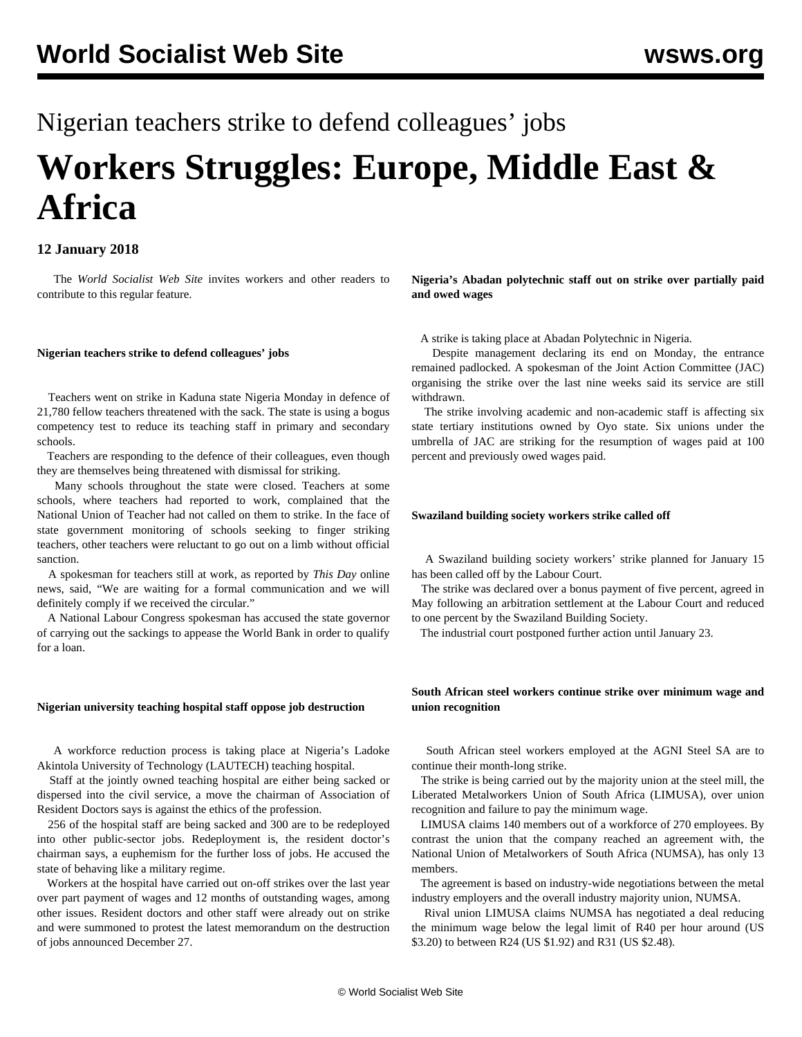# Nigerian teachers strike to defend colleagues' jobs **Workers Struggles: Europe, Middle East & Africa**

# **12 January 2018**

 The *World Socialist Web Site* invites workers and other readers to contribute to this regular feature.

# **Nigerian teachers strike to defend colleagues' jobs**

 Teachers went on strike in Kaduna state Nigeria Monday in defence of 21,780 fellow teachers threatened with the sack. The state is using a bogus competency test to reduce its teaching staff in primary and secondary schools.

 Teachers are responding to the defence of their colleagues, even though they are themselves being threatened with dismissal for striking.

 Many schools throughout the state were closed. Teachers at some schools, where teachers had reported to work, complained that the National Union of Teacher had not called on them to strike. In the face of state government monitoring of schools seeking to finger striking teachers, other teachers were reluctant to go out on a limb without official sanction.

 A spokesman for teachers still at work, as reported by *This Day* online news, said, "We are waiting for a formal communication and we will definitely comply if we received the circular."

 A National Labour Congress spokesman has accused the state governor of carrying out the sackings to appease the World Bank in order to qualify for a loan.

# **Nigerian university teaching hospital staff oppose job destruction**

 A workforce reduction process is taking place at Nigeria's Ladoke Akintola University of Technology (LAUTECH) teaching hospital.

 Staff at the jointly owned teaching hospital are either being sacked or dispersed into the civil service, a move the chairman of Association of Resident Doctors says is against the ethics of the profession.

 256 of the hospital staff are being sacked and 300 are to be redeployed into other public-sector jobs. Redeployment is, the resident doctor's chairman says, a euphemism for the further loss of jobs. He accused the state of behaving like a military regime.

 Workers at the hospital have carried out on-off strikes over the last year over part payment of wages and 12 months of outstanding wages, among other issues. Resident doctors and other staff were already out on strike and were summoned to protest the latest memorandum on the destruction of jobs announced December 27.

**Nigeria's Abadan polytechnic staff out on strike over partially paid and owed wages**

A strike is taking place at Abadan Polytechnic in Nigeria.

 Despite management declaring its end on Monday, the entrance remained padlocked. A spokesman of the Joint Action Committee (JAC) organising the strike over the last nine weeks said its service are still withdrawn.

 The strike involving academic and non-academic staff is affecting six state tertiary institutions owned by Oyo state. Six unions under the umbrella of JAC are striking for the resumption of wages paid at 100 percent and previously owed wages paid.

# **Swaziland building society workers strike called off**

 A Swaziland building society workers' strike planned for January 15 has been called off by the Labour Court.

 The strike was declared over a bonus payment of five percent, agreed in May following an arbitration settlement at the Labour Court and reduced to one percent by the Swaziland Building Society.

The industrial court postponed further action until January 23.

# **South African steel workers continue strike over minimum wage and union recognition**

 South African steel workers employed at the AGNI Steel SA are to continue their month-long strike.

 The strike is being carried out by the majority union at the steel mill, the Liberated Metalworkers Union of South Africa (LIMUSA), over union recognition and failure to pay the minimum wage.

 LIMUSA claims 140 members out of a workforce of 270 employees. By contrast the union that the company reached an agreement with, the National Union of Metalworkers of South Africa (NUMSA), has only 13 members.

 The agreement is based on industry-wide negotiations between the metal industry employers and the overall industry majority union, NUMSA.

 Rival union LIMUSA claims NUMSA has negotiated a deal reducing the minimum wage below the legal limit of R40 per hour around (US \$3.20) to between R24 (US \$1.92) and R31 (US \$2.48).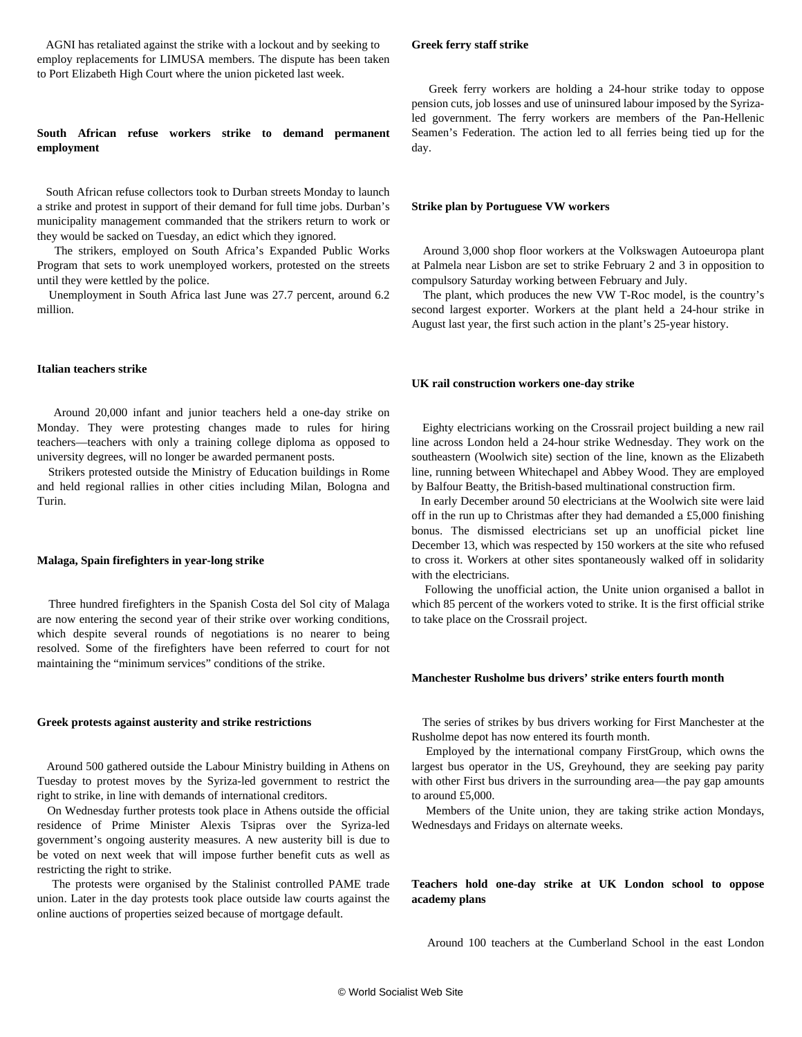AGNI has retaliated against the strike with a lockout and by seeking to employ replacements for LIMUSA members. The dispute has been taken to Port Elizabeth High Court where the union picketed last week.

# **South African refuse workers strike to demand permanent employment**

 South African refuse collectors took to Durban streets Monday to launch a strike and protest in support of their demand for full time jobs. Durban's municipality management commanded that the strikers return to work or they would be sacked on Tuesday, an edict which they ignored.

 The strikers, employed on South Africa's Expanded Public Works Program that sets to work unemployed workers, protested on the streets until they were kettled by the police.

 Unemployment in South Africa last June was 27.7 percent, around 6.2 million.

## **Italian teachers strike**

 Around 20,000 infant and junior teachers held a one-day strike on Monday. They were protesting changes made to rules for hiring teachers—teachers with only a training college diploma as opposed to university degrees, will no longer be awarded permanent posts.

 Strikers protested outside the Ministry of Education buildings in Rome and held regional rallies in other cities including Milan, Bologna and Turin.

# **Malaga, Spain firefighters in year-long strike**

 Three hundred firefighters in the Spanish Costa del Sol city of Malaga are now entering the second year of their strike over working conditions, which despite several rounds of negotiations is no nearer to being resolved. Some of the firefighters have been referred to court for not maintaining the "minimum services" conditions of the strike.

#### **Greek protests against austerity and strike restrictions**

 Around 500 gathered outside the Labour Ministry building in Athens on Tuesday to protest moves by the Syriza-led government to restrict the right to strike, in line with demands of international creditors.

 On Wednesday further protests took place in Athens outside the official residence of Prime Minister Alexis Tsipras over the Syriza-led government's ongoing austerity measures. A new austerity bill is due to be voted on next week that will impose further benefit cuts as well as restricting the right to strike.

 The protests were organised by the Stalinist controlled PAME trade union. Later in the day protests took place outside law courts against the online auctions of properties seized because of mortgage default.

# **Greek ferry staff strike**

 Greek ferry workers are holding a 24-hour strike today to oppose pension cuts, job losses and use of uninsured labour imposed by the Syrizaled government. The ferry workers are members of the Pan-Hellenic Seamen's Federation. The action led to all ferries being tied up for the day.

# **Strike plan by Portuguese VW workers**

 Around 3,000 shop floor workers at the Volkswagen Autoeuropa plant at Palmela near Lisbon are set to strike February 2 and 3 in opposition to compulsory Saturday working between February and July.

 The plant, which produces the new VW T-Roc model, is the country's second largest exporter. Workers at the plant held a 24-hour strike in August last year, the first such action in the plant's 25-year history.

#### **UK rail construction workers one-day strike**

 Eighty electricians working on the Crossrail project building a new rail line across London held a 24-hour strike Wednesday. They work on the southeastern (Woolwich site) section of the line, known as the Elizabeth line, running between Whitechapel and Abbey Wood. They are employed by Balfour Beatty, the British-based multinational construction firm.

 In early December around 50 electricians at the Woolwich site were laid off in the run up to Christmas after they had demanded a £5,000 finishing bonus. The dismissed electricians set up an unofficial picket line December 13, which was respected by 150 workers at the site who refused to cross it. Workers at other sites spontaneously walked off in solidarity with the electricians.

 Following the unofficial action, the Unite union organised a ballot in which 85 percent of the workers voted to strike. It is the first official strike to take place on the Crossrail project.

# **Manchester Rusholme bus drivers' strike enters fourth month**

 The series of strikes by bus drivers working for First Manchester at the Rusholme depot has now entered its fourth month.

 Employed by the international company FirstGroup, which owns the largest bus operator in the US, Greyhound, they are seeking pay parity with other First bus drivers in the surrounding area—the pay gap amounts to around £5,000.

 Members of the Unite union, they are taking strike action Mondays, Wednesdays and Fridays on alternate weeks.

**Teachers hold one-day strike at UK London school to oppose academy plans**

Around 100 teachers at the Cumberland School in the east London